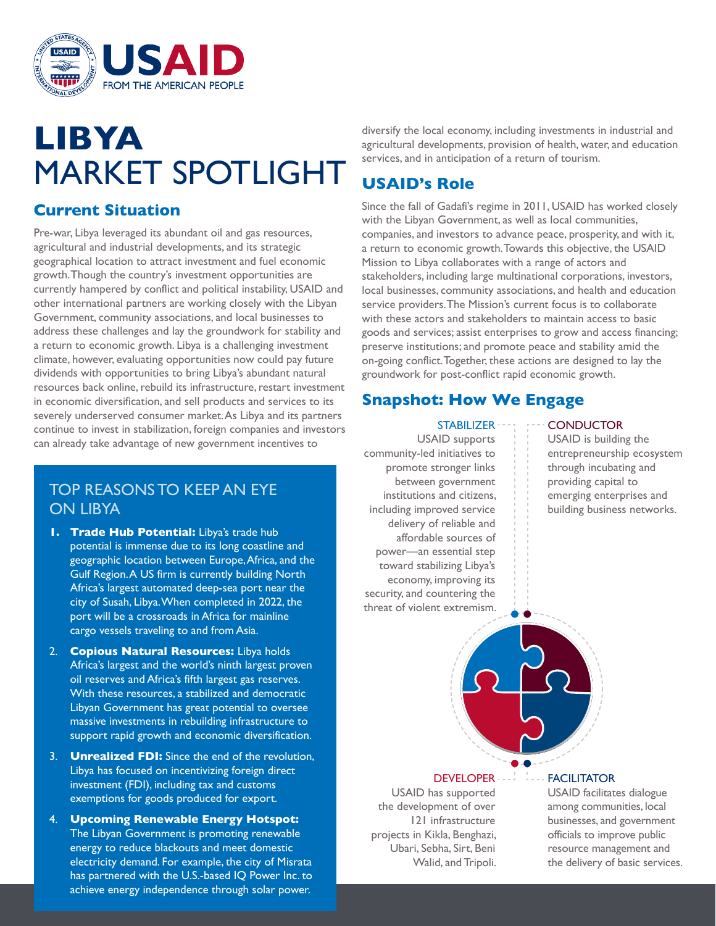

# **LIBYA** MARKET SPOTLIGHT

## **Current Situation**

Pre-war, Libya leveraged its abundant oil and gas resources, agricultural and industrial developments, and its strategic geographical location to attract investment and fuel economic growth. Though the country's investment opportunities are currently hampered by conflict and political instability, USAID and other international partners are working closely with the Libyan Government, community associations, and local businesses to address these challenges and lay the groundwork for stability and a return to economic growth. Libya is a challenging investment climate, however, evaluating opportunities now could pay future dividends with opportunities to bring Libya's abundant natural resources back online, rebuild its infrastructure, restart investment in economic diversification, and sell products and services to its severely underserved consumer market. As Libya and its partners continue to invest in stabilization, foreign companies and investors can already take advantage of new government incentives to

## TOP REASONS TO KEEP AN EYE ON LIBYA

- **1. Trade Hub Potential:** Libya's trade hub potential is immense due to its long coastline and geographic location between Europe, Africa, and the Gulf Region. A US firm is currently building North Africa's largest automated deep-sea port near the city of Susah, Libya. When completed in 2022, the port will be a crossroads in Africa for mainline cargo vessels traveling to and from Asia.
- 2. **Copious Natural Resources:** Libya holds Africa's largest and the world's ninth largest proven oil reserves and Africa's fifth largest gas reserves. With these resources, a stabilized and democratic Libyan Government has great potential to oversee massive investments in rebuilding infrastructure to support rapid growth and economic diversification.
- 3. **Unrealized FDI:** Since the end of the revolution, Libya has focused on incentivizing foreign direct investment (FDI), including tax and customs exemptions for goods produced for export.
- 4. **Upcoming Renewable Energy Hotspot:**  The Libyan Government is promoting renewable energy to reduce blackouts and meet domestic electricity demand. For example, the city of Misrata has partnered with the U.S.-based IQ Power Inc. to achieve energy independence through solar power.

diversify the local economy, including investments in industrial and agricultural developments, provision of health, water, and education services, and in anticipation of a return of tourism.

## **USAID's Role**

Since the fall of Gadafi's regime in 2011, USAID has worked closely with the Libyan Government, as well as local communities, companies, and investors to advance peace, prosperity, and with it, a return to economic growth. Towards this objective, the USAID Mission to Libya collaborates with a range of actors and stakeholders, including large multinational corporations, investors, local businesses, community associations, and health and education service providers. The Mission's current focus is to collaborate with these actors and stakeholders to maintain access to basic goods and services; assist enterprises to grow and access financing; preserve institutions; and promote peace and stability amid the on-going conflict. Together, these actions are designed to lay the groundwork for post-conflict rapid economic growth.

## **Snapshot: How We Engage**

#### **STABILIZER**

USAID supports community-led initiatives to promote stronger links between government institutions and citizens, including improved service delivery of reliable and affordable sources of power—an essential step toward stabilizing Libya's economy, improving its security, and countering the threat of violent extremism.

### **CONDUCTOR**

USAID is building the entrepreneurship ecosystem through incubating and providing capital to emerging enterprises and building business networks.



#### **FACILITATOR** DEVELOPER --

 USAID has supported the development of over 121 infrastructure projects in Kikla, Benghazi, Ubari, Sebha, Sirt, Beni Walid, and Tripoli. USAID facilitates dialogue among communities, local businesses, and government officials to improve public resource management and

the delivery of basic services.